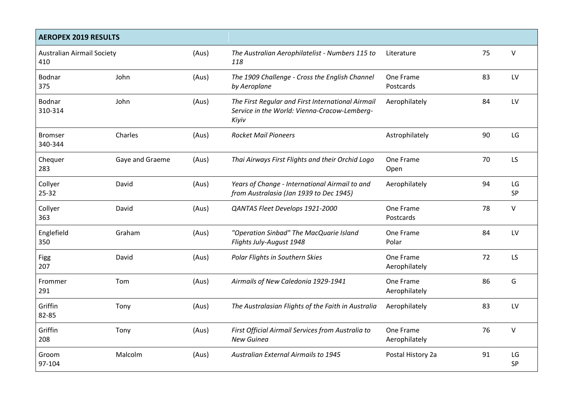| <b>AEROPEX 2019 RESULTS</b>              |                 |       |                                                                                                            |                            |    |                 |  |  |
|------------------------------------------|-----------------|-------|------------------------------------------------------------------------------------------------------------|----------------------------|----|-----------------|--|--|
| <b>Australian Airmail Society</b><br>410 |                 | (Aus) | The Australian Aerophilatelist - Numbers 115 to<br>118                                                     | Literature                 | 75 | $\vee$          |  |  |
| Bodnar<br>375                            | John            | (Aus) | The 1909 Challenge - Cross the English Channel<br>by Aeroplane                                             | One Frame<br>Postcards     | 83 | LV              |  |  |
| Bodnar<br>310-314                        | John            | (Aus) | The First Regular and First International Airmail<br>Service in the World: Vienna-Cracow-Lemberg-<br>Kiyiv | Aerophilately              | 84 | LV              |  |  |
| <b>Bromser</b><br>340-344                | Charles         | (Aus) | <b>Rocket Mail Pioneers</b>                                                                                | Astrophilately             | 90 | LG              |  |  |
| Chequer<br>283                           | Gaye and Graeme | (Aus) | Thai Airways First Flights and their Orchid Logo                                                           | One Frame<br>Open          | 70 | LS              |  |  |
| Collyer<br>$25 - 32$                     | David           | (Aus) | Years of Change - International Airmail to and<br>from Australasia (Jan 1939 to Dec 1945)                  | Aerophilately              | 94 | LG<br><b>SP</b> |  |  |
| Collyer<br>363                           | David           | (Aus) | QANTAS Fleet Develops 1921-2000                                                                            | One Frame<br>Postcards     | 78 | $\vee$          |  |  |
| Englefield<br>350                        | Graham          | (Aus) | "Operation Sinbad" The MacQuarie Island<br>Flights July-August 1948                                        | One Frame<br>Polar         | 84 | LV              |  |  |
| <b>Figg</b><br>207                       | David           | (Aus) | Polar Flights in Southern Skies                                                                            | One Frame<br>Aerophilately | 72 | LS              |  |  |
| Frommer<br>291                           | Tom             | (Aus) | Airmails of New Caledonia 1929-1941                                                                        | One Frame<br>Aerophilately | 86 | G               |  |  |
| Griffin<br>82-85                         | Tony            | (Aus) | The Australasian Flights of the Faith in Australia                                                         | Aerophilately              | 83 | LV              |  |  |
| Griffin<br>208                           | Tony            | (Aus) | First Official Airmail Services from Australia to<br>New Guinea                                            | One Frame<br>Aerophilately | 76 | V               |  |  |
| Groom<br>97-104                          | Malcolm         | (Aus) | <b>Australian External Airmails to 1945</b>                                                                | Postal History 2a          | 91 | LG<br>SP        |  |  |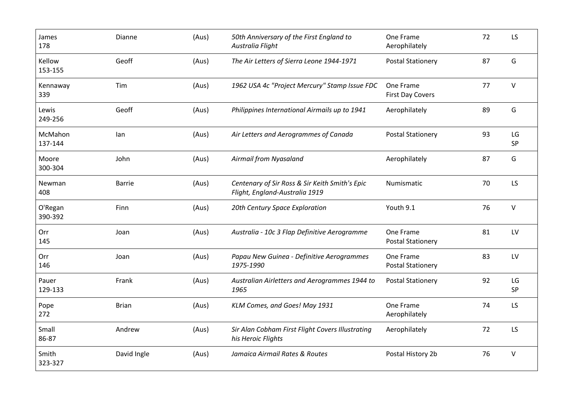| James<br>178       | Dianne        | (Aus) | 50th Anniversary of the First England to<br>Australia Flight                     | One Frame<br>Aerophilately            | 72 | LS           |
|--------------------|---------------|-------|----------------------------------------------------------------------------------|---------------------------------------|----|--------------|
| Kellow<br>153-155  | Geoff         | (Aus) | The Air Letters of Sierra Leone 1944-1971                                        | <b>Postal Stationery</b>              | 87 | G            |
| Kennaway<br>339    | Tim           | (Aus) | 1962 USA 4c "Project Mercury" Stamp Issue FDC                                    | One Frame<br><b>First Day Covers</b>  | 77 | V            |
| Lewis<br>249-256   | Geoff         | (Aus) | Philippines International Airmails up to 1941                                    | Aerophilately                         | 89 | G            |
| McMahon<br>137-144 | lan           | (Aus) | Air Letters and Aerogrammes of Canada                                            | <b>Postal Stationery</b>              | 93 | LG<br>SP     |
| Moore<br>300-304   | John          | (Aus) | Airmail from Nyasaland                                                           | Aerophilately                         | 87 | G            |
| Newman<br>408      | <b>Barrie</b> | (Aus) | Centenary of Sir Ross & Sir Keith Smith's Epic<br>Flight, England-Australia 1919 | <b>Numismatic</b>                     | 70 | LS           |
| O'Regan<br>390-392 | Finn          | (Aus) | 20th Century Space Exploration                                                   | Youth 9.1                             | 76 | V            |
| Orr<br>145         | Joan          | (Aus) | Australia - 10c 3 Flap Definitive Aerogramme                                     | One Frame<br><b>Postal Stationery</b> | 81 | LV           |
| Orr<br>146         | Joan          | (Aus) | Papau New Guinea - Definitive Aerogrammes<br>1975-1990                           | One Frame<br><b>Postal Stationery</b> | 83 | LV           |
| Pauer<br>129-133   | Frank         | (Aus) | Australian Airletters and Aerogrammes 1944 to<br>1965                            | <b>Postal Stationery</b>              | 92 | LG<br>SP     |
| Pope<br>272        | <b>Brian</b>  | (Aus) | KLM Comes, and Goes! May 1931                                                    | One Frame<br>Aerophilately            | 74 | <b>LS</b>    |
| Small<br>86-87     | Andrew        | (Aus) | Sir Alan Cobham First Flight Covers Illustrating<br>his Heroic Flights           | Aerophilately                         | 72 | LS           |
| Smith<br>323-327   | David Ingle   | (Aus) | Jamaica Airmail Rates & Routes                                                   | Postal History 2b                     | 76 | $\mathsf{V}$ |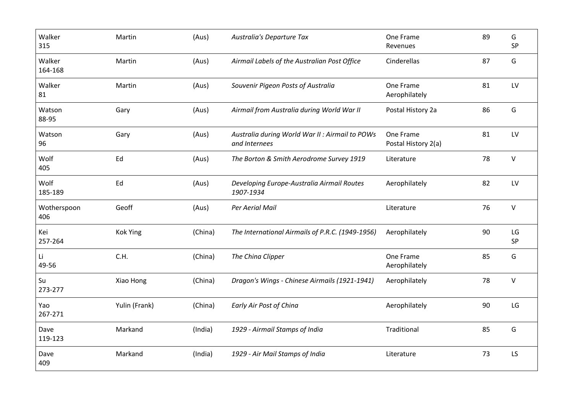| Walker<br>315      | Martin          | (Aus)   | Australia's Departure Tax                                        | One Frame<br>Revenues            | 89 | G<br>SP      |
|--------------------|-----------------|---------|------------------------------------------------------------------|----------------------------------|----|--------------|
| Walker<br>164-168  | Martin          | (Aus)   | Airmail Labels of the Australian Post Office                     | Cinderellas                      | 87 | G            |
| Walker<br>81       | Martin          | (Aus)   | Souvenir Pigeon Posts of Australia                               | One Frame<br>Aerophilately       | 81 | LV           |
| Watson<br>88-95    | Gary            | (Aus)   | Airmail from Australia during World War II                       | Postal History 2a                | 86 | G            |
| Watson<br>96       | Gary            | (Aus)   | Australia during World War II : Airmail to POWs<br>and Internees | One Frame<br>Postal History 2(a) | 81 | LV           |
| Wolf<br>405        | Ed              | (Aus)   | The Borton & Smith Aerodrome Survey 1919                         | Literature                       | 78 | $\mathsf{V}$ |
| Wolf<br>185-189    | Ed              | (Aus)   | Developing Europe-Australia Airmail Routes<br>1907-1934          | Aerophilately                    | 82 | LV           |
| Wotherspoon<br>406 | Geoff           | (Aus)   | Per Aerial Mail                                                  | Literature                       | 76 | $\vee$       |
| Kei<br>257-264     | <b>Kok Ying</b> | (China) | The International Airmails of P.R.C. (1949-1956)                 | Aerophilately                    | 90 | LG<br>SP     |
| Li<br>49-56        | C.H.            | (China) | The China Clipper                                                | One Frame<br>Aerophilately       | 85 | G            |
| Su<br>273-277      | Xiao Hong       | (China) | Dragon's Wings - Chinese Airmails (1921-1941)                    | Aerophilately                    | 78 | $\vee$       |
| Yao<br>267-271     | Yulin (Frank)   | (China) | Early Air Post of China                                          | Aerophilately                    | 90 | LG           |
| Dave<br>119-123    | Markand         | (India) | 1929 - Airmail Stamps of India                                   | Traditional                      | 85 | G            |
| Dave<br>409        | Markand         | (India) | 1929 - Air Mail Stamps of India                                  | Literature                       | 73 | LS           |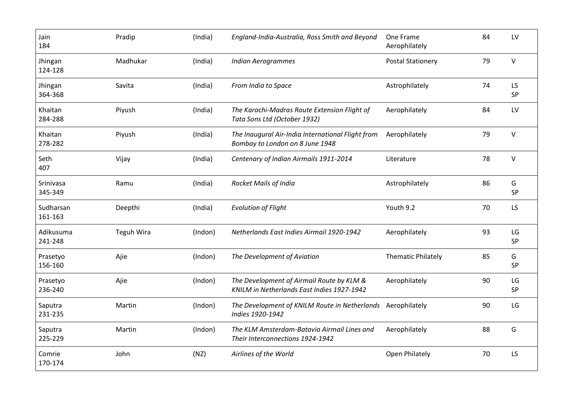| Jain<br>184          | Pradip            | (India) | England-India-Australia, Ross Smith and Beyond                                          | One Frame<br>Aerophilately | 84 | LV       |
|----------------------|-------------------|---------|-----------------------------------------------------------------------------------------|----------------------------|----|----------|
| Jhingan<br>124-128   | Madhukar          | (India) | <b>Indian Aerogrammes</b>                                                               | <b>Postal Stationery</b>   | 79 | $\vee$   |
| Jhingan<br>364-368   | Savita            | (India) | From India to Space                                                                     | Astrophilately             | 74 | LS<br>SP |
| Khaitan<br>284-288   | Piyush            | (India) | The Karachi-Madras Route Extension Flight of<br>Tata Sons Ltd (October 1932)            | Aerophilately              | 84 | LV       |
| Khaitan<br>278-282   | Piyush            | (India) | The Inaugural Air-India International Flight from<br>Bombay to London on 8 June 1948    | Aerophilately              | 79 | $\vee$   |
| Seth<br>407          | Vijay             | (India) | Centenary of Indian Airmails 1911-2014                                                  | Literature                 | 78 | $\vee$   |
| Srinivasa<br>345-349 | Ramu              | (India) | <b>Rocket Mails of India</b>                                                            | Astrophilately             | 86 | G<br>SP  |
| Sudharsan<br>161-163 | Deepthi           | (India) | <b>Evolution of Flight</b>                                                              | Youth 9.2                  | 70 | LS       |
| Adikusuma<br>241-248 | <b>Teguh Wira</b> | (Indon) | Netherlands East Indies Airmail 1920-1942                                               | Aerophilately              | 93 | LG<br>SP |
| Prasetyo<br>156-160  | Ajie              | (Indon) | The Development of Aviation                                                             | <b>Thematic Philately</b>  | 85 | G<br>SP  |
| Prasetyo<br>236-240  | Ajie              | (Indon) | The Development of Airmail Route by KLM &<br>KNILM in Netherlands East Indies 1927-1942 | Aerophilately              | 90 | LG<br>SP |
| Saputra<br>231-235   | Martin            | (Indon) | The Development of KNILM Route in Netherlands Aerophilately<br>Indies 1920-1942         |                            | 90 | LG       |
| Saputra<br>225-229   | Martin            | (Indon) | The KLM Amsterdam-Batavia Airmail Lines and<br>Their Interconnections 1924-1942         | Aerophilately              | 88 | G        |
| Comrie<br>170-174    | John              | (NZ)    | Airlines of the World                                                                   | Open Philately             | 70 | LS       |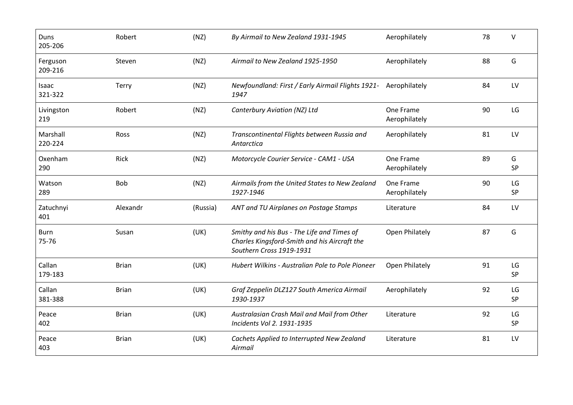| Duns<br>205-206      | Robert       | (NZ)     | By Airmail to New Zealand 1931-1945                                                                                    | Aerophilately              | 78 | $\vee$   |
|----------------------|--------------|----------|------------------------------------------------------------------------------------------------------------------------|----------------------------|----|----------|
| Ferguson<br>209-216  | Steven       | (NZ)     | Airmail to New Zealand 1925-1950                                                                                       | Aerophilately              | 88 | G        |
| Isaac<br>321-322     | Terry        | (NZ)     | Newfoundland: First / Early Airmail Flights 1921- Aerophilately<br>1947                                                |                            | 84 | LV       |
| Livingston<br>219    | Robert       | (NZ)     | Canterbury Aviation (NZ) Ltd                                                                                           | One Frame<br>Aerophilately | 90 | LG       |
| Marshall<br>220-224  | Ross         | (NZ)     | Transcontinental Flights between Russia and<br>Antarctica                                                              | Aerophilately              | 81 | LV       |
| Oxenham<br>290       | Rick         | (NZ)     | Motorcycle Courier Service - CAM1 - USA                                                                                | One Frame<br>Aerophilately | 89 | G<br>SP  |
| Watson<br>289        | <b>Bob</b>   | (NZ)     | Airmails from the United States to New Zealand<br>1927-1946                                                            | One Frame<br>Aerophilately | 90 | LG<br>SP |
| Zatuchnyi<br>401     | Alexandr     | (Russia) | ANT and TU Airplanes on Postage Stamps                                                                                 | Literature                 | 84 | LV       |
| <b>Burn</b><br>75-76 | Susan        | (UK)     | Smithy and his Bus - The Life and Times of<br>Charles Kingsford-Smith and his Aircraft the<br>Southern Cross 1919-1931 | Open Philately             | 87 | G        |
| Callan<br>179-183    | <b>Brian</b> | (UK)     | Hubert Wilkins - Australian Pole to Pole Pioneer                                                                       | Open Philately             | 91 | LG<br>SP |
| Callan<br>381-388    | <b>Brian</b> | (UK)     | Graf Zeppelin DLZ127 South America Airmail<br>1930-1937                                                                | Aerophilately              | 92 | LG<br>SP |
| Peace<br>402         | <b>Brian</b> | (UK)     | Australasian Crash Mail and Mail from Other<br>Incidents Vol 2. 1931-1935                                              | Literature                 | 92 | LG<br>SP |
| Peace<br>403         | <b>Brian</b> | (UK)     | Cachets Applied to Interrupted New Zealand<br>Airmail                                                                  | Literature                 | 81 | LV       |